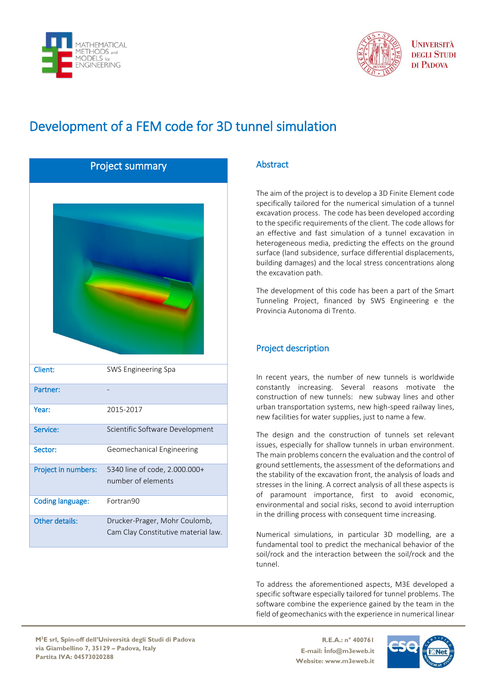



**I INIVERSITÀ DEGLI STUDI** DI PADOVA

# Development of a FEM code for 3D tunnel simulation

| <b>Project summary</b>  |                                                                      |
|-------------------------|----------------------------------------------------------------------|
|                         |                                                                      |
|                         |                                                                      |
|                         |                                                                      |
|                         |                                                                      |
|                         |                                                                      |
|                         |                                                                      |
|                         |                                                                      |
|                         |                                                                      |
|                         |                                                                      |
|                         |                                                                      |
| Client:                 | SWS Engineering Spa                                                  |
| Partner:                |                                                                      |
| Year:                   | 2015-2017                                                            |
| Service:                | Scientific Software Development                                      |
| Sector:                 | Geomechanical Engineering                                            |
| Project in numbers:     | 5340 line of code, 2.000.000+                                        |
|                         | number of elements                                                   |
| <b>Coding language:</b> | Fortran90                                                            |
| Other details:          | Drucker-Prager, Mohr Coulomb,<br>Cam Clay Constitutive material law. |

## Abstract

The aim of the project is to develop a 3D Finite Element code specifically tailored for the numerical simulation of a tunnel excavation process. The code has been developed according to the specific requirements of the client. The code allows for an effective and fast simulation of a tunnel excavation in heterogeneous media, predicting the effects on the ground surface (land subsidence, surface differential displacements, building damages) and the local stress concentrations along the excavation path.

The development of this code has been a part of the Smart Tunneling Project, financed by SWS Engineering e the Provincia Autonoma di Trento.

## Project description

In recent years, the number of new tunnels is worldwide constantly increasing. Several reasons motivate the construction of new tunnels: new subway lines and other urban transportation systems, new high-speed railway lines, new facilities for water supplies, just to name a few.

The design and the construction of tunnels set relevant issues, especially for shallow tunnels in urban environment. The main problems concern the evaluation and the control of ground settlements, the assessment of the deformations and the stability of the excavation front, the analysis of loads and stresses in the lining. A correct analysis of all these aspects is of paramount importance, first to avoid economic, environmental and social risks, second to avoid interruption in the drilling process with consequent time increasing.

Numerical simulations, in particular 3D modelling, are a fundamental tool to predict the mechanical behavior of the soil/rock and the interaction between the soil/rock and the tunnel.

To address the aforementioned aspects, M3E developed a specific software especially tailored for tunnel problems. The software combine the experience gained by the team in the field of geomechanics with the experience in numerical linear